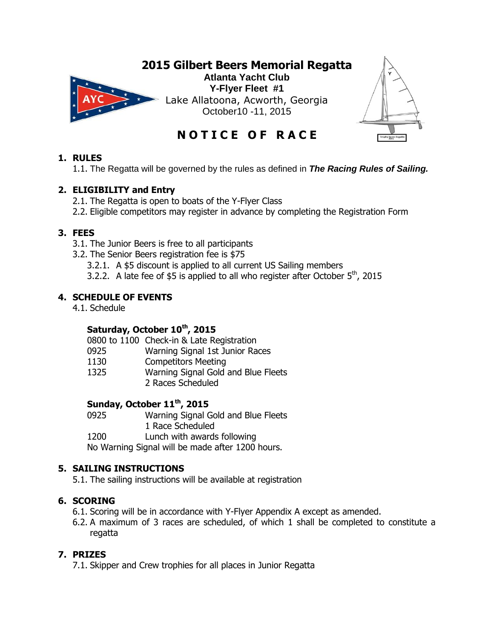



**N O T I C E O F R A C E**

### **1. RULES**

1.1. The Regatta will be governed by the rules as defined in *The Racing Rules of Sailing.*

## **2. ELIGIBILITY and Entry**

- 2.1. The Regatta is open to boats of the Y-Flyer Class
- 2.2. Eligible competitors may register in advance by completing the Registration Form

### **3. FEES**

- 3.1. The Junior Beers is free to all participants
- 3.2. The Senior Beers registration fee is \$75
	- 3.2.1. A \$5 discount is applied to all current US Sailing members
	- 3.2.2. A late fee of  $$5$  is applied to all who register after October  $5<sup>th</sup>$ , 2015

## **4. SCHEDULE OF EVENTS**

4.1. Schedule

# **Saturday, October 10th, 2015**

0800 to 1100 Check-in & Late Registration

- 0925 Warning Signal 1st Junior Races
- 1130 Competitors Meeting
- 1325 Warning Signal Gold and Blue Fleets
	- 2 Races Scheduled

## **Sunday, October 11th, 2015**

0925 Warning Signal Gold and Blue Fleets 1 Race Scheduled

1200 Lunch with awards following

No Warning Signal will be made after 1200 hours.

### **5. SAILING INSTRUCTIONS**

5.1. The sailing instructions will be available at registration

### **6. SCORING**

- 6.1. Scoring will be in accordance with Y-Flyer Appendix A except as amended.
- 6.2. A maximum of 3 races are scheduled, of which 1 shall be completed to constitute a regatta

### **7. PRIZES**

7.1. Skipper and Crew trophies for all places in Junior Regatta